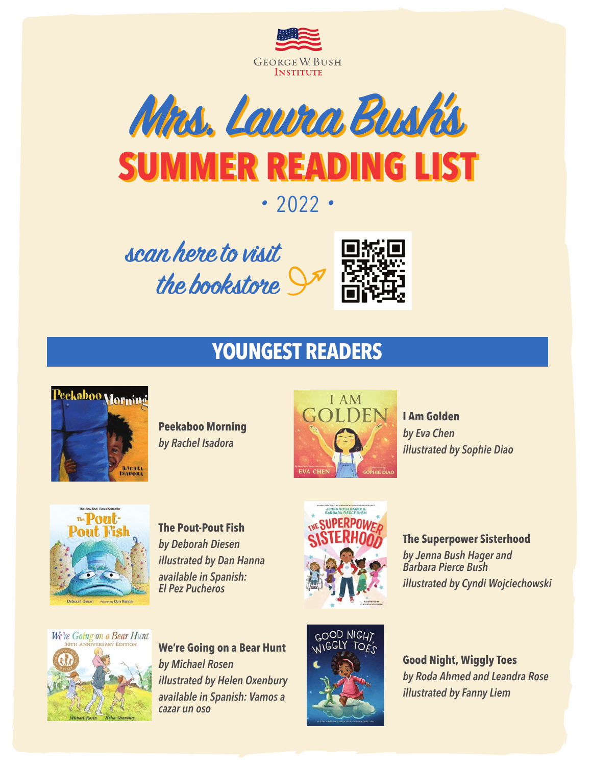



## **•** <sup>2022</sup> **•**

scan here to visit the bookstore



# **YOUNGEST READERS**



**Peekaboo Morning**  *by Rachel Isadora*



**I Am Golden**  *by Eva Chen illustrated by Sophie Diao*



**The Pout-Pout Fish** *by Deborah Diesen illustrated by Dan Hanna available in Spanish: El Pez Pucheros*



**The Superpower Sisterhood**  *by Jenna Bush Hager and Barbara Pierce Bush illustrated by Cyndi Wojciechowski* 



**We're Going on a Bear Hunt**  *by Michael Rosen illustrated by Helen Oxenbury available in Spanish: Vamos a cazar un oso*



**Good Night, Wiggly Toes**  *by Roda Ahmed and Leandra Rose illustrated by Fanny Liem*